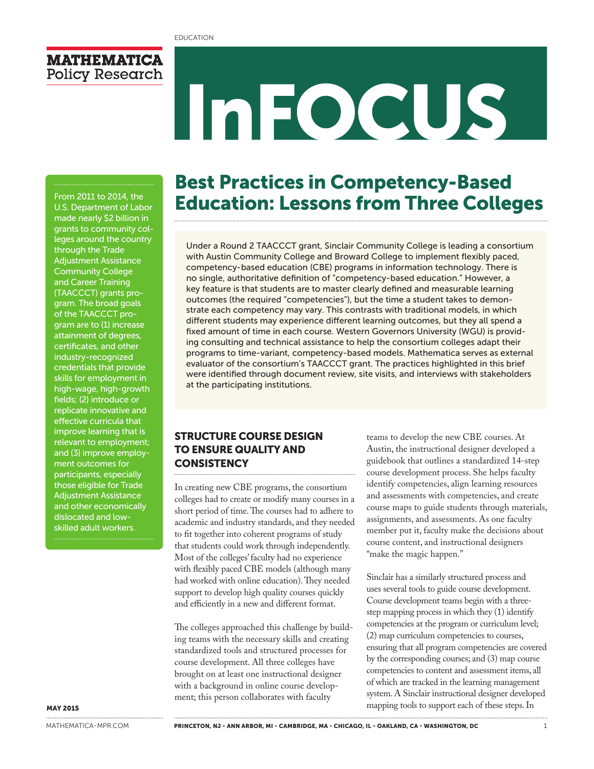

# InFOCUS

#### From 2011 to 2014, the U.S. Department of Labor made nearly \$2 billion in grants to community colleges around the country through the Trade Adjustment Assistance Community College and Career Training (TAACCCT) grants program. The broad goals of the TAACCCT program are to (1) increase attainment of degrees, certificates, and other industry-recognized credentials that provide skills for employment in high-wage, high-growth fields; (2) introduce or replicate innovative and effective curricula that improve learning that is relevant to employment; and (3) improve employment outcomes for participants, especially those eligible for Trade Adjustment Assistance and other economically dislocated and lowskilled adult workers.

# Best Practices in Competency-Based Education: Lessons from Three Colleges

Under a Round 2 TAACCCT grant, Sinclair Community College is leading a consortium with Austin Community College and Broward College to implement flexibly paced, competency-based education (CBE) programs in information technology. There is no single, authoritative definition of "competency-based education." However, a key feature is that students are to master clearly defined and measurable learning outcomes (the required "competencies"), but the time a student takes to demonstrate each competency may vary. This contrasts with traditional models, in which different students may experience different learning outcomes, but they all spend a fixed amount of time in each course. Western Governors University (WGU) is providing consulting and technical assistance to help the consortium colleges adapt their programs to time-variant, competency-based models. Mathematica serves as external evaluator of the consortium's TAACCCT grant. The practices highlighted in this brief were identified through document review, site visits, and interviews with stakeholders at the participating institutions.

#### STRUCTURE COURSE DESIGN TO ENSURE QUALITY AND **CONSISTENCY**

In creating new CBE programs, the consortium colleges had to create or modify many courses in a short period of time. The courses had to adhere to academic and industry standards, and they needed to fit together into coherent programs of study that students could work through independently. Most of the colleges' faculty had no experience with flexibly paced CBE models (although many had worked with online education). They needed support to develop high quality courses quickly and efficiently in a new and different format.

The colleges approached this challenge by building teams with the necessary skills and creating standardized tools and structured processes for course development. All three colleges have brought on at least one instructional designer with a background in online course development; this person collaborates with faculty

teams to develop the new CBE courses. At Austin, the instructional designer developed a guidebook that outlines a standardized 14-step course development process. She helps faculty identify competencies, align learning resources and assessments with competencies, and create course maps to guide students through materials, assignments, and assessments. As one faculty member put it, faculty make the decisions about course content, and instructional designers "make the magic happen."

Sinclair has a similarly structured process and uses several tools to guide course development. Course development teams begin with a threestep mapping process in which they (1) identify competencies at the program or curriculum level; (2) map curriculum competencies to courses, ensuring that all program competencies are covered by the corresponding courses; and (3) map course competencies to content and assessment items, all of which are tracked in the learning management system. A Sinclair instructional designer developed mapping tools to support each of these steps. In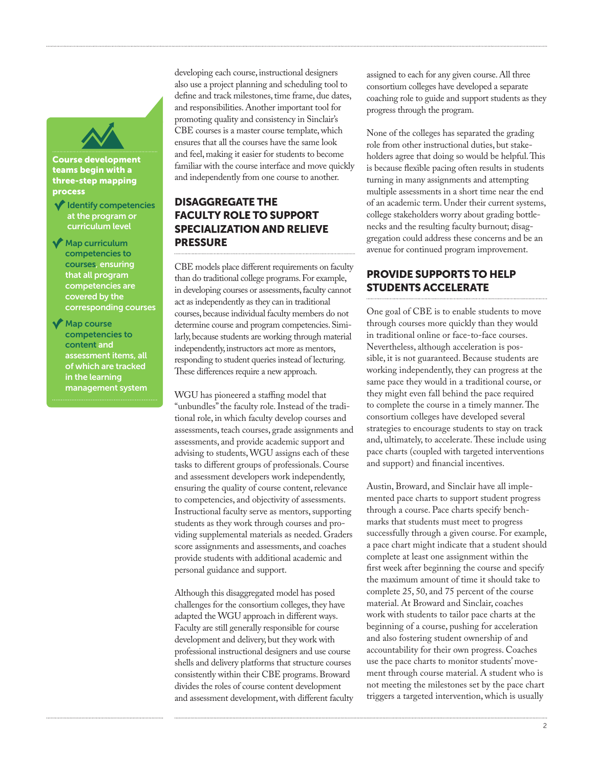

#### Course development teams begin with a three-step mapping process

- $\blacktriangledown$  Identify competencies at the program or curriculum level
- Map curriculum competencies to courses, ensuring that all program competencies are covered by the corresponding courses
- Map course competencies to content and assessment items, all of which are tracked in the learning management system

developing each course, instructional designers also use a project planning and scheduling tool to define and track milestones, time frame, due dates, and responsibilities. Another important tool for promoting quality and consistency in Sinclair's CBE courses is a master course template, which ensures that all the courses have the same look and feel, making it easier for students to become familiar with the course interface and move quickly and independently from one course to another.

## DISAGGREGATE THE FACULTY ROLE TO SUPPORT SPECIALIZATION AND RELIEVE PRESSURE

CBE models place different requirements on faculty than do traditional college programs. For example, in developing courses or assessments, faculty cannot act as independently as they can in traditional courses, because individual faculty members do not determine course and program competencies. Similarly, because students are working through material independently, instructors act more as mentors, responding to student queries instead of lecturing. These differences require a new approach.

WGU has pioneered a staffing model that "unbundles" the faculty role. Instead of the traditional role, in which faculty develop courses and assessments, teach courses, grade assignments and assessments, and provide academic support and advising to students, WGU assigns each of these tasks to different groups of professionals. Course and assessment developers work independently, ensuring the quality of course content, relevance to competencies, and objectivity of assessments. Instructional faculty serve as mentors, supporting students as they work through courses and providing supplemental materials as needed. Graders score assignments and assessments, and coaches provide students with additional academic and personal guidance and support.

Although this disaggregated model has posed challenges for the consortium colleges, they have adapted the WGU approach in different ways. Faculty are still generally responsible for course development and delivery, but they work with professional instructional designers and use course shells and delivery platforms that structure courses consistently within their CBE programs. Broward divides the roles of course content development and assessment development, with different faculty

assigned to each for any given course. All three consortium colleges have developed a separate coaching role to guide and support students as they progress through the program.

None of the colleges has separated the grading role from other instructional duties, but stakeholders agree that doing so would be helpful. This is because flexible pacing often results in students turning in many assignments and attempting multiple assessments in a short time near the end of an academic term. Under their current systems, college stakeholders worry about grading bottlenecks and the resulting faculty burnout; disaggregation could address these concerns and be an avenue for continued program improvement.

#### PROVIDE SUPPORTS TO HELP STUDENTS ACCELERATE

One goal of CBE is to enable students to move through courses more quickly than they would in traditional online or face-to-face courses. Nevertheless, although acceleration is possible, it is not guaranteed. Because students are working independently, they can progress at the same pace they would in a traditional course, or they might even fall behind the pace required to complete the course in a timely manner. The consortium colleges have developed several strategies to encourage students to stay on track and, ultimately, to accelerate. These include using pace charts (coupled with targeted interventions and support) and financial incentives.

Austin, Broward, and Sinclair have all implemented pace charts to support student progress through a course. Pace charts specify benchmarks that students must meet to progress successfully through a given course. For example, a pace chart might indicate that a student should complete at least one assignment within the first week after beginning the course and specify the maximum amount of time it should take to complete 25, 50, and 75 percent of the course material. At Broward and Sinclair, coaches work with students to tailor pace charts at the beginning of a course, pushing for acceleration and also fostering student ownership of and accountability for their own progress. Coaches use the pace charts to monitor students' movement through course material. A student who is not meeting the milestones set by the pace chart triggers a targeted intervention, which is usually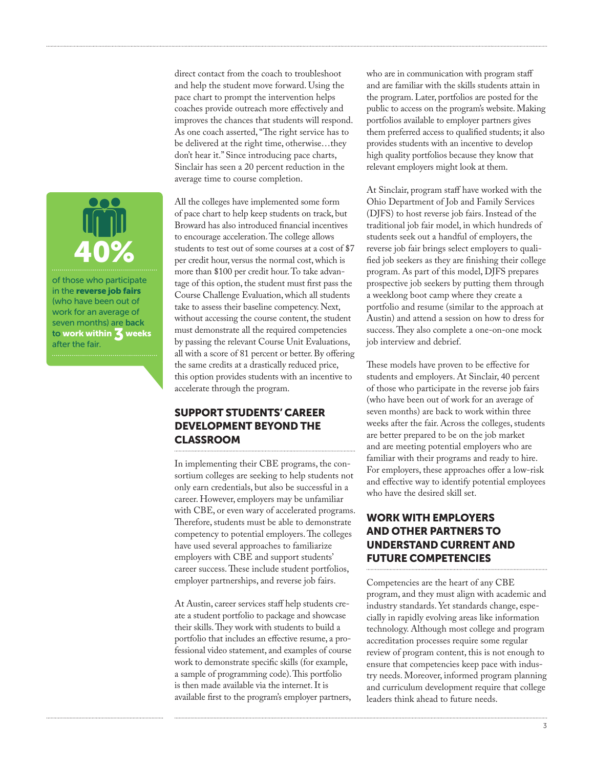direct contact from the coach to troubleshoot and help the student move forward. Using the pace chart to prompt the intervention helps coaches provide outreach more effectively and improves the chances that students will respond. As one coach asserted, "The right service has to be delivered at the right time, otherwise…they don't hear it." Since introducing pace charts, Sinclair has seen a 20 percent reduction in the average time to course completion.

All the colleges have implemented some form of pace chart to help keep students on track, but Broward has also introduced financial incentives to encourage acceleration. The college allows students to test out of some courses at a cost of \$7 per credit hour, versus the normal cost, which is more than \$100 per credit hour. To take advantage of this option, the student must first pass the Course Challenge Evaluation, which all students take to assess their baseline competency. Next, without accessing the course content, the student must demonstrate all the required competencies by passing the relevant Course Unit Evaluations, all with a score of 81 percent or better. By offering the same credits at a drastically reduced price, this option provides students with an incentive to accelerate through the program.

### SUPPORT STUDENTS' CAREER DEVELOPMENT BEYOND THE **CLASSROOM**

In implementing their CBE programs, the consortium colleges are seeking to help students not only earn credentials, but also be successful in a career. However, employers may be unfamiliar with CBE, or even wary of accelerated programs. Therefore, students must be able to demonstrate competency to potential employers. The colleges have used several approaches to familiarize employers with CBE and support students' career success. These include student portfolios, employer partnerships, and reverse job fairs.

At Austin, career services staff help students create a student portfolio to package and showcase their skills. They work with students to build a portfolio that includes an effective resume, a professional video statement, and examples of course work to demonstrate specific skills (for example, a sample of programming code). This portfolio is then made available via the internet. It is available first to the program's employer partners, who are in communication with program staff and are familiar with the skills students attain in the program. Later, portfolios are posted for the public to access on the program's website. Making portfolios available to employer partners gives them preferred access to qualified students; it also provides students with an incentive to develop high quality portfolios because they know that relevant employers might look at them.

At Sinclair, program staff have worked with the Ohio Department of Job and Family Services (DJFS) to host reverse job fairs. Instead of the traditional job fair model, in which hundreds of students seek out a handful of employers, the reverse job fair brings select employers to qualified job seekers as they are finishing their college program. As part of this model, DJFS prepares prospective job seekers by putting them through a weeklong boot camp where they create a portfolio and resume (similar to the approach at Austin) and attend a session on how to dress for success. They also complete a one-on-one mock job interview and debrief.

These models have proven to be effective for students and employers. At Sinclair, 40 percent of those who participate in the reverse job fairs (who have been out of work for an average of seven months) are back to work within three weeks after the fair. Across the colleges, students are better prepared to be on the job market and are meeting potential employers who are familiar with their programs and ready to hire. For employers, these approaches offer a low-risk and effective way to identify potential employees who have the desired skill set.

### WORK WITH EMPLOYERS AND OTHER PARTNERS TO UNDERSTAND CURRENT AND FUTURE COMPETENCIES

Competencies are the heart of any CBE program, and they must align with academic and industry standards. Yet standards change, especially in rapidly evolving areas like information technology. Although most college and program accreditation processes require some regular review of program content, this is not enough to ensure that competencies keep pace with industry needs. Moreover, informed program planning and curriculum development require that college leaders think ahead to future needs.



(who have been out of work for an average of seven months) are back to work within 3 weeks after the fair.